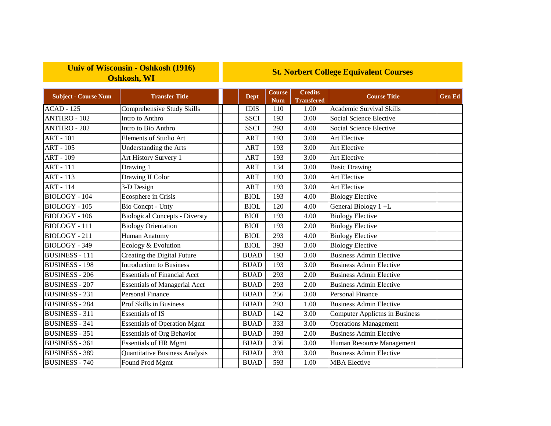## **Univ of Wisconsin - Oshkosh (1916) Oshkosh, WI**

## **St. Norbert College Equivalent Courses**

| <b>Subject - Course Num</b> | <b>Transfer Title</b>                 | <b>Dept</b> | <b>Course</b><br><b>Num</b> | <b>Credits</b><br><b>Transfered</b> | <b>Course Title</b>                   | <b>Gen Ed</b> |
|-----------------------------|---------------------------------------|-------------|-----------------------------|-------------------------------------|---------------------------------------|---------------|
| <b>ACAD - 125</b>           | Comprehensive Study Skills            | <b>IDIS</b> | 110                         | 1.00                                | <b>Academic Survival Skills</b>       |               |
| <b>ANTHRO - 102</b>         | Intro to Anthro                       | <b>SSCI</b> | 193                         | 3.00                                | Social Science Elective               |               |
| <b>ANTHRO - 202</b>         | Intro to Bio Anthro                   | <b>SSCI</b> | 293                         | 4.00                                | Social Science Elective               |               |
| <b>ART - 101</b>            | Elements of Studio Art                | ART         | 193                         | 3.00                                | <b>Art Elective</b>                   |               |
| <b>ART - 105</b>            | Understanding the Arts                | <b>ART</b>  | 193                         | 3.00                                | Art Elective                          |               |
| <b>ART - 109</b>            | Art History Survery 1                 | <b>ART</b>  | 193                         | 3.00                                | Art Elective                          |               |
| <b>ART - 111</b>            | Drawing 1                             | <b>ART</b>  | 134                         | 3.00                                | <b>Basic Drawing</b>                  |               |
| <b>ART - 113</b>            | Drawing II Color                      | <b>ART</b>  | 193                         | 3.00                                | Art Elective                          |               |
| <b>ART - 114</b>            | 3-D Design                            | ART         | 193                         | 3.00                                | <b>Art Elective</b>                   |               |
| $BIOLOGY - 104$             | Ecosphere in Crisis                   | <b>BIOL</b> | 193                         | 4.00                                | <b>Biology Elective</b>               |               |
| <b>BIOLOGY - 105</b>        | <b>Bio Concpt - Unty</b>              | <b>BIOL</b> | 120                         | 4.00                                | General Biology 1+L                   |               |
| BIOLOGY - 106               | <b>Biological Concepts - Diversty</b> | <b>BIOL</b> | 193                         | 4.00                                | <b>Biology Elective</b>               |               |
| <b>BIOLOGY - 111</b>        | <b>Biology Orientation</b>            | <b>BIOL</b> | 193                         | 2.00                                | <b>Biology Elective</b>               |               |
| <b>BIOLOGY - 211</b>        | Human Anatomy                         | <b>BIOL</b> | 293                         | 4.00                                | <b>Biology Elective</b>               |               |
| BIOLOGY - 349               | Ecology & Evolution                   | <b>BIOL</b> | 393                         | 3.00                                | <b>Biology Elective</b>               |               |
| <b>BUSINESS - 111</b>       | Creating the Digital Future           | <b>BUAD</b> | 193                         | 3.00                                | <b>Business Admin Elective</b>        |               |
| <b>BUSINESS - 198</b>       | <b>Introduction to Business</b>       | <b>BUAD</b> | 193                         | 3.00                                | <b>Business Admin Elective</b>        |               |
| <b>BUSINESS - 206</b>       | <b>Essentials of Financial Acct</b>   | <b>BUAD</b> | 293                         | 2.00                                | <b>Business Admin Elective</b>        |               |
| <b>BUSINESS - 207</b>       | <b>Essentials of Managerial Acct</b>  | <b>BUAD</b> | 293                         | 2.00                                | <b>Business Admin Elective</b>        |               |
| <b>BUSINESS - 231</b>       | <b>Personal Finance</b>               | <b>BUAD</b> | 256                         | 3.00                                | <b>Personal Finance</b>               |               |
| <b>BUSINESS - 284</b>       | Prof Skills in Business               | <b>BUAD</b> | 293                         | 1.00                                | <b>Business Admin Elective</b>        |               |
| <b>BUSINESS - 311</b>       | <b>Essentials of IS</b>               | <b>BUAD</b> | 142                         | 3.00                                | <b>Computer Applictns in Business</b> |               |
| <b>BUSINESS - 341</b>       | <b>Essentials of Operation Mgmt</b>   | <b>BUAD</b> | 333                         | 3.00                                | <b>Operations Management</b>          |               |
| <b>BUSINESS - 351</b>       | <b>Essentials of Org Behavior</b>     | <b>BUAD</b> | 393                         | 2.00                                | <b>Business Admin Elective</b>        |               |
| <b>BUSINESS - 361</b>       | <b>Essentials of HR Mgmt</b>          | <b>BUAD</b> | 336                         | 3.00                                | Human Resource Management             |               |
| <b>BUSINESS - 389</b>       | <b>Quantitative Business Analysis</b> | <b>BUAD</b> | 393                         | 3.00                                | <b>Business Admin Elective</b>        |               |
| <b>BUSINESS - 740</b>       | Found Prod Mgmt                       | <b>BUAD</b> | 593                         | 1.00                                | <b>MBA</b> Elective                   |               |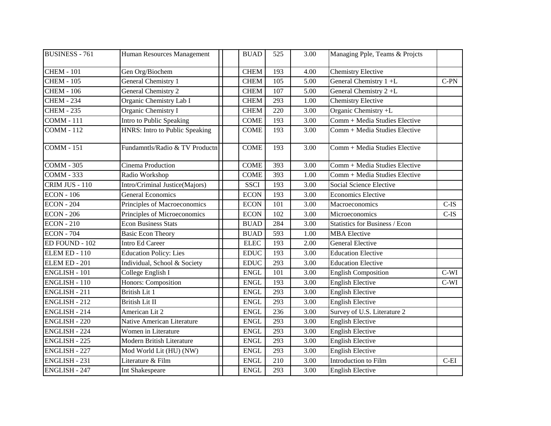| <b>BUSINESS - 761</b> | Human Resources Management     | <b>BUAD</b> | 525 | 3.00              | Managing Pple, Teams & Projcts        |         |
|-----------------------|--------------------------------|-------------|-----|-------------------|---------------------------------------|---------|
| <b>CHEM - 101</b>     | Gen Org/Biochem                | <b>CHEM</b> | 193 | 4.00              | <b>Chemistry Elective</b>             |         |
| <b>CHEM - 105</b>     | <b>General Chemistry 1</b>     | <b>CHEM</b> | 105 | 5.00              | General Chemistry 1 +L                | $C-PN$  |
| <b>CHEM - 106</b>     | General Chemistry 2            | <b>CHEM</b> | 107 | 5.00              | General Chemistry 2+L                 |         |
| <b>CHEM - 234</b>     | Organic Chemistry Lab I        | <b>CHEM</b> | 293 | 1.00              | <b>Chemistry Elective</b>             |         |
| <b>CHEM - 235</b>     | Organic Chemistry I            | <b>CHEM</b> | 220 | 3.00              | Organic Chemistry +L                  |         |
| <b>COMM - 111</b>     | Intro to Public Speaking       | <b>COME</b> | 193 | 3.00              | Comm + Media Studies Elective         |         |
| <b>COMM - 112</b>     | HNRS: Intro to Public Speaking | <b>COME</b> | 193 | 3.00              | Comm + Media Studies Elective         |         |
| <b>COMM - 151</b>     | Fundamntls/Radio & TV Productn | <b>COME</b> | 193 | 3.00              | Comm + Media Studies Elective         |         |
| <b>COMM - 305</b>     | Cinema Production              | <b>COME</b> | 393 | 3.00              | Comm + Media Studies Elective         |         |
| <b>COMM - 333</b>     | Radio Workshop                 | <b>COME</b> | 393 | 1.00              | Comm + Media Studies Elective         |         |
| CRIM JUS - 110        | Intro/Criminal Justice(Majors) | <b>SSCI</b> | 193 | 3.00              | Social Science Elective               |         |
| <b>ECON</b> - 106     | <b>General Economics</b>       | <b>ECON</b> | 193 | 3.00              | <b>Economics Elective</b>             |         |
| <b>ECON - 204</b>     | Principles of Macroeconomics   | <b>ECON</b> | 101 | 3.00              | Macroeconomics                        | $C-IS$  |
| <b>ECON - 206</b>     | Principles of Microeconomics   | <b>ECON</b> | 102 | 3.00              | Microeconomics                        | $C$ -IS |
| <b>ECON - 210</b>     | <b>Econ Business Stats</b>     | <b>BUAD</b> | 284 | 3.00              | <b>Statistics for Business / Econ</b> |         |
| <b>ECON - 704</b>     | <b>Basic Econ Theory</b>       | <b>BUAD</b> | 593 | 1.00              | <b>MBA</b> Elective                   |         |
| ED FOUND - 102        | <b>Intro Ed Career</b>         | <b>ELEC</b> | 193 | 2.00              | <b>General Elective</b>               |         |
| ELEM ED - 110         | <b>Education Policy: Lies</b>  | <b>EDUC</b> | 193 | 3.00              | <b>Education Elective</b>             |         |
| ELEM ED - 201         | Individual, School & Society   | <b>EDUC</b> | 293 | 3.00              | <b>Education Elective</b>             |         |
| <b>ENGLISH - 101</b>  | College English I              | <b>ENGL</b> | 101 | 3.00              | <b>English Composition</b>            | $C-WI$  |
| <b>ENGLISH - 110</b>  | Honors: Composition            | <b>ENGL</b> | 193 | 3.00              | <b>English Elective</b>               | $C-WI$  |
| <b>ENGLISH - 211</b>  | <b>British Lit 1</b>           | <b>ENGL</b> | 293 | 3.00              | <b>English Elective</b>               |         |
| <b>ENGLISH - 212</b>  | British Lit II                 | <b>ENGL</b> | 293 | 3.00              | <b>English Elective</b>               |         |
| ENGLISH - 214         | American Lit 2                 | <b>ENGL</b> | 236 | 3.00              | Survey of U.S. Literature 2           |         |
| <b>ENGLISH - 220</b>  | Native American Literature     | <b>ENGL</b> | 293 | 3.00              | <b>English Elective</b>               |         |
| <b>ENGLISH - 224</b>  | Women in Literature            | <b>ENGL</b> | 293 | 3.00              | <b>English Elective</b>               |         |
| <b>ENGLISH - 225</b>  | Modern British Literature      | <b>ENGL</b> | 293 | $\overline{3.00}$ | <b>English Elective</b>               |         |
| <b>ENGLISH - 227</b>  | Mod World Lit (HU) (NW)        | <b>ENGL</b> | 293 | 3.00              | <b>English Elective</b>               |         |
| <b>ENGLISH - 231</b>  | Literature & Film              | <b>ENGL</b> | 210 | 3.00              | Introduction to Film                  | $C-EI$  |
| <b>ENGLISH - 247</b>  | Int Shakespeare                | <b>ENGL</b> | 293 | 3.00              | <b>English Elective</b>               |         |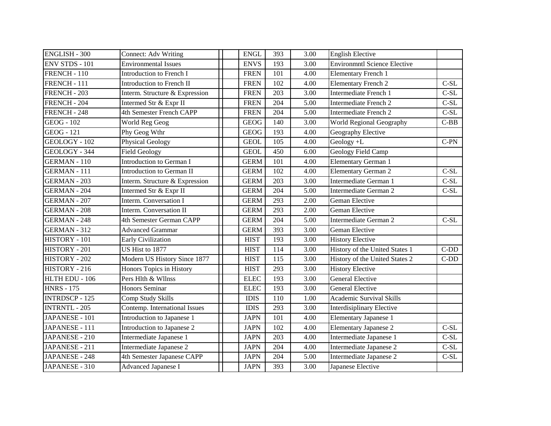| <b>ENGLISH - 300</b>  | <b>Connect: Adv Writing</b>    | <b>ENGL</b> | 393 | 3.00 | <b>English Elective</b>             |        |
|-----------------------|--------------------------------|-------------|-----|------|-------------------------------------|--------|
| <b>ENV STDS - 101</b> | <b>Environmental Issues</b>    | <b>ENVS</b> | 193 | 3.00 | <b>Environmntl Science Elective</b> |        |
| FRENCH - 110          | Introduction to French I       | <b>FREN</b> | 101 | 4.00 | <b>Elementary French 1</b>          |        |
| FRENCH - 111          | Introduction to French II      | <b>FREN</b> | 102 | 4.00 | <b>Elementary French 2</b>          | $C-SL$ |
| FRENCH - 203          | Interm. Structure & Expression | <b>FREN</b> | 203 | 3.00 | Intermediate French 1               | $C-SL$ |
| FRENCH - 204          | Intermed Str & Expr II         | <b>FREN</b> | 204 | 5.00 | Intermediate French 2               | $C-SL$ |
| FRENCH - 248          | 4th Semester French CAPP       | <b>FREN</b> | 204 | 5.00 | Intermediate French 2               | $C-SL$ |
| <b>GEOG</b> - 102     | World Reg Geog                 | <b>GEOG</b> | 140 | 3.00 | World Regional Geography            | $C-BB$ |
| <b>GEOG</b> - 121     | Phy Geog Wthr                  | <b>GEOG</b> | 193 | 4.00 | Geography Elective                  |        |
| GEOLOGY - 102         | <b>Physical Geology</b>        | <b>GEOL</b> | 105 | 4.00 | Geology +L                          | $C-PN$ |
| GEOLOGY - 344         | <b>Field Geology</b>           | <b>GEOL</b> | 450 | 6.00 | Geology Field Camp                  |        |
| <b>GERMAN-110</b>     | Introduction to German I       | <b>GERM</b> | 101 | 4.00 | Elementary German 1                 |        |
| <b>GERMAN - 111</b>   | Introduction to German II      | <b>GERM</b> | 102 | 4.00 | <b>Elementary German 2</b>          | $C-SL$ |
| <b>GERMAN - 203</b>   | Interm. Structure & Expression | <b>GERM</b> | 203 | 3.00 | Intermediate German 1               | $C-SL$ |
| <b>GERMAN - 204</b>   | Intermed Str & Expr II         | <b>GERM</b> | 204 | 5.00 | Intermediate German 2               | $C-SL$ |
| <b>GERMAN - 207</b>   | Interm. Conversation I         | <b>GERM</b> | 293 | 2.00 | Geman Elective                      |        |
| <b>GERMAN - 208</b>   | Interm. Conversation II        | <b>GERM</b> | 293 | 2.00 | Geman Elective                      |        |
| <b>GERMAN - 248</b>   | 4th Semester German CAPP       | <b>GERM</b> | 204 | 5.00 | Intermediate German 2               | $C-SL$ |
| <b>GERMAN - 312</b>   | <b>Advanced Grammar</b>        | <b>GERM</b> | 393 | 3.00 | Geman Elective                      |        |
| HISTORY - 101         | <b>Early Civilization</b>      | <b>HIST</b> | 193 | 3.00 | <b>History Elective</b>             |        |
| HISTORY - 201         | US Hist to 1877                | <b>HIST</b> | 114 | 3.00 | History of the United States 1      | $C-DD$ |
| HISTORY - 202         | Modern US History Since 1877   | <b>HIST</b> | 115 | 3.00 | History of the United States 2      | $C-DD$ |
| HISTORY - 216         | Honors Topics in History       | <b>HIST</b> | 293 | 3.00 | <b>History Elective</b>             |        |
| HLTH EDU - 106        | Pers Hlth & Wilnss             | <b>ELEC</b> | 193 | 3.00 | <b>General Elective</b>             |        |
| <b>HNRS - 175</b>     | <b>Honors Seminar</b>          | <b>ELEC</b> | 193 | 3.00 | <b>General Elective</b>             |        |
| <b>INTRDSCP - 125</b> | Comp Study Skills              | <b>IDIS</b> | 110 | 1.00 | <b>Academic Survival Skills</b>     |        |
| <b>INTRNTL - 205</b>  | Contemp. International Issues  | <b>IDIS</b> | 293 | 3.00 | <b>Interdisiplinary Elective</b>    |        |
| JAPANESE - 101        | Introduction to Japanese 1     | <b>JAPN</b> | 101 | 4.00 | <b>Elementary Japanese 1</b>        |        |
| JAPANESE - 111        | Introduction to Japanese 2     | <b>JAPN</b> | 102 | 4.00 | <b>Elementary Japanese 2</b>        | $C-SL$ |
| JAPANESE - 210        | Intermediate Japanese 1        | <b>JAPN</b> | 203 | 4.00 | Intermediate Japanese 1             | $C-SL$ |
| JAPANESE - 211        | Intermediate Japanese 2        | <b>JAPN</b> | 204 | 4.00 | Intermediate Japanese 2             | $C-SL$ |
| JAPANESE - 248        | 4th Semester Japanese CAPP     | <b>JAPN</b> | 204 | 5.00 | Intermediate Japanese 2             | $C-SL$ |
| JAPANESE - 310        | <b>Advanced Japanese I</b>     | <b>JAPN</b> | 393 | 3.00 | Japanese Elective                   |        |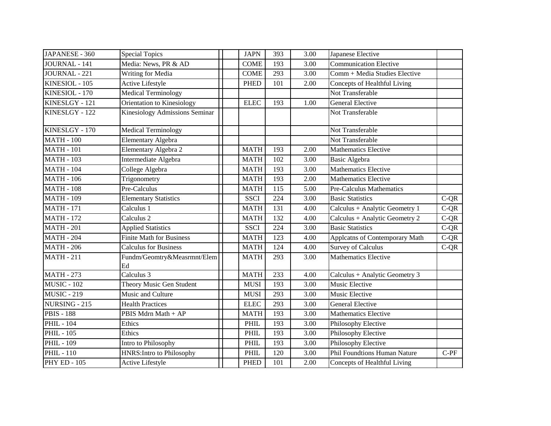| JAPANESE - 360       | <b>Special Topics</b>                 | <b>JAPN</b> | 393 | 3.00 | Japanese Elective                   |        |
|----------------------|---------------------------------------|-------------|-----|------|-------------------------------------|--------|
| <b>JOURNAL - 141</b> | Media: News, PR & AD                  | <b>COME</b> | 193 | 3.00 | <b>Communication Elective</b>       |        |
| JOURNAL - 221        | Writing for Media                     | <b>COME</b> | 293 | 3.00 | Comm + Media Studies Elective       |        |
| KINESIOL - 105       | Active Lifestyle                      | <b>PHED</b> | 101 | 2.00 | Concepts of Healthful Living        |        |
| KINESIOL - 170       | <b>Medical Terminology</b>            |             |     |      | Not Transferable                    |        |
| KINESLGY - 121       | Orientation to Kinesiology            | <b>ELEC</b> | 193 | 1.00 | <b>General Elective</b>             |        |
| KINESLGY - 122       | <b>Kinesiology Admissions Seminar</b> |             |     |      | Not Transferable                    |        |
| KINESLGY - 170       | <b>Medical Terminology</b>            |             |     |      | Not Transferable                    |        |
| <b>MATH - 100</b>    | <b>Elementary Algebra</b>             |             |     |      | Not Transferable                    |        |
| <b>MATH - 101</b>    | Elementary Algebra 2                  | <b>MATH</b> | 193 | 2.00 | <b>Mathematics Elective</b>         |        |
| <b>MATH - 103</b>    | Intermediate Algebra                  | <b>MATH</b> | 102 | 3.00 | <b>Basic Algebra</b>                |        |
| <b>MATH - 104</b>    | College Algebra                       | <b>MATH</b> | 193 | 3.00 | <b>Mathematics Elective</b>         |        |
| <b>MATH - 106</b>    | Trigonometry                          | <b>MATH</b> | 193 | 2.00 | <b>Mathematics Elective</b>         |        |
| $MATH - 108$         | Pre-Calculus                          | <b>MATH</b> | 115 | 5.00 | <b>Pre-Calculus Mathematics</b>     |        |
| <b>MATH - 109</b>    | <b>Elementary Statistics</b>          | <b>SSCI</b> | 224 | 3.00 | <b>Basic Statistics</b>             | $C-QR$ |
| <b>MATH - 171</b>    | Calculus 1                            | <b>MATH</b> | 131 | 4.00 | Calculus + Analytic Geometry 1      | $C-QR$ |
| <b>MATH - 172</b>    | Calculus <sub>2</sub>                 | <b>MATH</b> | 132 | 4.00 | Calculus + Analytic Geometry 2      | $C-QR$ |
| <b>MATH - 201</b>    | <b>Applied Statistics</b>             | <b>SSCI</b> | 224 | 3.00 | <b>Basic Statistics</b>             | $C-QR$ |
| <b>MATH - 204</b>    | <b>Finite Math for Business</b>       | <b>MATH</b> | 123 | 4.00 | Applcatns of Contemporary Math      | $C-QR$ |
| <b>MATH - 206</b>    | <b>Calculus for Business</b>          | <b>MATH</b> | 124 | 4.00 | <b>Survey of Calculus</b>           | $C-QR$ |
| <b>MATH - 211</b>    | Fundm/Geomtry&Measrmnt/Elem<br>Ed     | <b>MATH</b> | 293 | 3.00 | <b>Mathematics Elective</b>         |        |
| <b>MATH - 273</b>    | Calculus 3                            | <b>MATH</b> | 233 | 4.00 | Calculus + Analytic Geometry 3      |        |
| <b>MUSIC - 102</b>   | Theory Music Gen Student              | <b>MUSI</b> | 193 | 3.00 | Music Elective                      |        |
| <b>MUSIC - 219</b>   | Music and Culture                     | <b>MUSI</b> | 293 | 3.00 | Music Elective                      |        |
| NURSING - 215        | <b>Health Practices</b>               | <b>ELEC</b> | 293 | 3.00 | <b>General Elective</b>             |        |
| <b>PBIS - 188</b>    | PBIS Mdrn Math + AP                   | <b>MATH</b> | 193 | 3.00 | <b>Mathematics Elective</b>         |        |
| <b>PHIL - 104</b>    | Ethics                                | PHIL        | 193 | 3.00 | Philosophy Elective                 |        |
| <b>PHIL - 105</b>    | Ethics                                | PHIL        | 193 | 3.00 | Philosophy Elective                 |        |
| <b>PHIL - 109</b>    | Intro to Philosophy                   | PHIL        | 193 | 3.00 | Philosophy Elective                 |        |
| <b>PHIL-110</b>      | <b>HNRS: Intro to Philosophy</b>      | <b>PHIL</b> | 120 | 3.00 | <b>Phil Foundtions Human Nature</b> | $C-PF$ |
| <b>PHY ED - 105</b>  | Active Lifestyle                      | <b>PHED</b> | 101 | 2.00 | Concepts of Healthful Living        |        |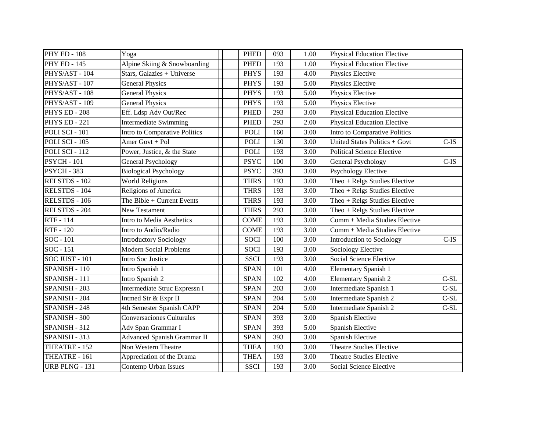| PHY ED - 108        | Yoga                               | <b>PHED</b> | 093 | 1.00              | <b>Physical Education Elective</b> |         |
|---------------------|------------------------------------|-------------|-----|-------------------|------------------------------------|---------|
| <b>PHY ED - 145</b> | Alpine Skiing & Snowboarding       | <b>PHED</b> | 193 | 1.00              | <b>Physical Education Elective</b> |         |
| PHYS/AST - 104      | Stars, Galazies + Universe         | <b>PHYS</b> | 193 | 4.00              | Physics Elective                   |         |
| PHYS/AST - 107      | <b>General Physics</b>             | <b>PHYS</b> | 193 | 5.00              | Physics Elective                   |         |
| PHYS/AST - 108      | <b>General Physics</b>             | <b>PHYS</b> | 193 | 5.00              | Physics Elective                   |         |
| PHYS/AST - 109      | <b>General Physics</b>             | <b>PHYS</b> | 193 | 5.00              | Physics Elective                   |         |
| PHYS ED - 208       | Eff. Ldsp Adv Out/Rec              | <b>PHED</b> | 293 | 3.00              | <b>Physical Education Elective</b> |         |
| PHYS ED - 221       | <b>Intermediate Swimming</b>       | <b>PHED</b> | 293 | 2.00              | <b>Physical Education Elective</b> |         |
| POLI SCI - 101      | Intro to Comparative Politics      | POLI        | 160 | 3.00              | Intro to Comparative Politics      |         |
| POLI SCI - 105      | Amer Govt + Pol                    | <b>POLI</b> | 130 | 3.00              | United States Politics + Govt      | $C$ -IS |
| POLI SCI - 112      | Power, Justice, & the State        | <b>POLI</b> | 193 | 3.00              | <b>Political Science Elective</b>  |         |
| <b>PSYCH - 101</b>  | <b>General Psychology</b>          | <b>PSYC</b> | 100 | 3.00              | General Psychology                 | $C$ -IS |
| <b>PSYCH - 383</b>  | <b>Biological Psychology</b>       | <b>PSYC</b> | 393 | 3.00              | <b>Psychology Elective</b>         |         |
| RELSTDS - 102       | <b>World Religions</b>             | <b>THRS</b> | 193 | 3.00              | Theo + Relgs Studies Elective      |         |
| RELSTDS - $104$     | Religions of America               | <b>THRS</b> | 193 | 3.00              | Theo + Relgs Studies Elective      |         |
| RELSTDS - 106       | The Bible + Current Events         | <b>THRS</b> | 193 | 3.00              | Theo $+$ Relgs Studies Elective    |         |
| RELSTDS - 204       | <b>New Testament</b>               | <b>THRS</b> | 293 | 3.00              | Theo $+$ Relgs Studies Elective    |         |
| RTF - 114           | Intro to Media Aesthetics          | <b>COME</b> | 193 | 3.00              | Comm + Media Studies Elective      |         |
| RTF - 120           | Intro to Audio/Radio               | <b>COME</b> | 193 | 3.00              | Comm + Media Studies Elective      |         |
| SOC - 101           | <b>Introductory Sociology</b>      | <b>SOCI</b> | 100 | 3.00              | <b>Introduction to Sociology</b>   | $C$ -IS |
| SOC - 151           | <b>Modern Social Problems</b>      | <b>SOCI</b> | 193 | 3.00              | <b>Sociology Elective</b>          |         |
| SOC JUST - 101      | Intro Soc Justice                  | <b>SSCI</b> | 193 | $\overline{3.00}$ | <b>Social Science Elective</b>     |         |
| SPANISH - 110       | Intro Spanish 1                    | <b>SPAN</b> | 101 | 4.00              | <b>Elementary Spanish 1</b>        |         |
| SPANISH - 111       | Intro Spanish 2                    | <b>SPAN</b> | 102 | 4.00              | <b>Elementary Spanish 2</b>        | $C-SL$  |
| SPANISH - 203       | Intermediate Struc Expressn I      | <b>SPAN</b> | 203 | 3.00              | Intermediate Spanish 1             | $C-SL$  |
| SPANISH - 204       | Intmed Str & Expr II               | <b>SPAN</b> | 204 | 5.00              | Intermediate Spanish 2             | $C-SL$  |
| SPANISH - 248       | 4th Semester Spanish CAPP          | <b>SPAN</b> | 204 | 5.00              | Intermediate Spanish 2             | $C-SL$  |
| SPANISH - 300       | <b>Conversaciones Culturales</b>   | <b>SPAN</b> | 393 | 3.00              | Spanish Elective                   |         |
| SPANISH - 312       | Adv Span Grammar I                 | <b>SPAN</b> | 393 | 5.00              | Spanish Elective                   |         |
| SPANISH - 313       | <b>Advanced Spanish Grammar II</b> | <b>SPAN</b> | 393 | 3.00              | Spanish Elective                   |         |
| THEATRE - 152       | Non Western Theatre                | <b>THEA</b> | 193 | 3.00              | <b>Theatre Studies Elective</b>    |         |
| THEATRE - 161       | Appreciation of the Drama          | <b>THEA</b> | 193 | 3.00              | <b>Theatre Studies Elective</b>    |         |
| URB PLNG - 131      | Contemp Urban Issues               | <b>SSCI</b> | 193 | 3.00              | Social Science Elective            |         |